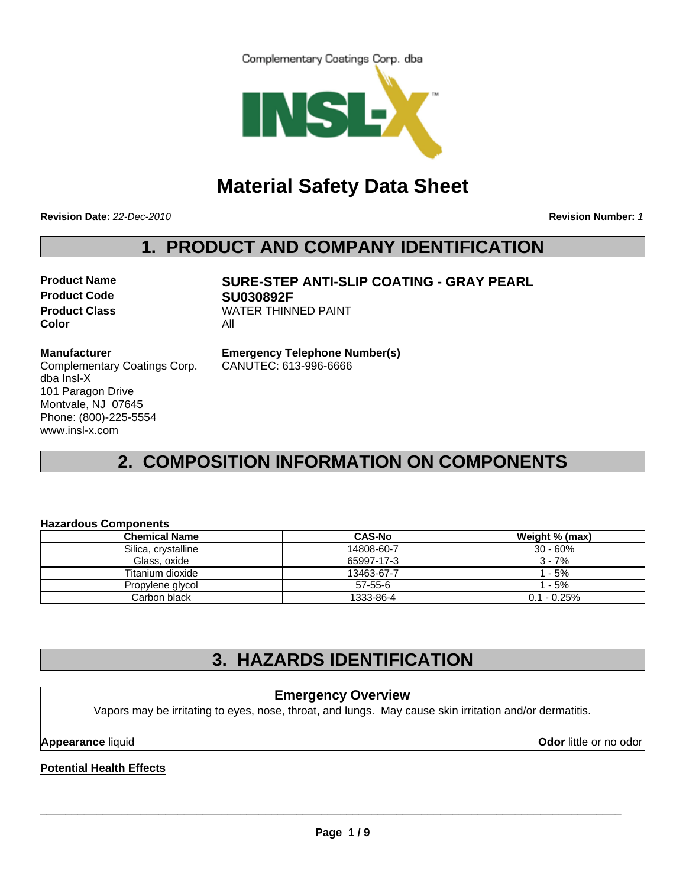Complementary Coatings Corp. dba



# **Material Safety Data Sheet**

**Revision Date:** *22-Dec-2010*

**Revision Number:** *1*

# **1. PRODUCT AND COMPANY IDENTIFICATION**

**Product Code SU030892F Color** All

**Product Name SURE-STEP ANTI-SLIP COATING - GRAY PEARL Product Class WATER THINNED PAINT** 

### **Manufacturer**

Complementary Coatings Corp. dba Insl-X 101 Paragon Drive Montvale, NJ 07645 Phone: (800)-225-5554 www.insl-x.com

**Emergency Telephone Number(s)** CANUTEC: 613-996-6666

# **2. COMPOSITION INFORMATION ON COMPONENTS**

### **Hazardous Components**

| <b>Chemical Name</b> | <b>CAS-No</b> | Weight % (max) |
|----------------------|---------------|----------------|
| Silica, crystalline  | 14808-60-7    | $30 - 60\%$    |
| Glass, oxide         | 65997-17-3    | 3 - 7%         |
| Titanium dioxide     | 13463-67-7    | 1 - 5%         |
| Propylene glycol     | 57-55-6       | 1 - 5%         |
| Carbon black         | 1333-86-4     | $0.1 - 0.25\%$ |

## **3. HAZARDS IDENTIFICATION**

### **Emergency Overview**

Vapors may be irritating to eyes, nose, throat, and lungs. May cause skin irritation and/or dermatitis.

**Appearance** liquid **Odor** little or no odor

**Potential Health Effects**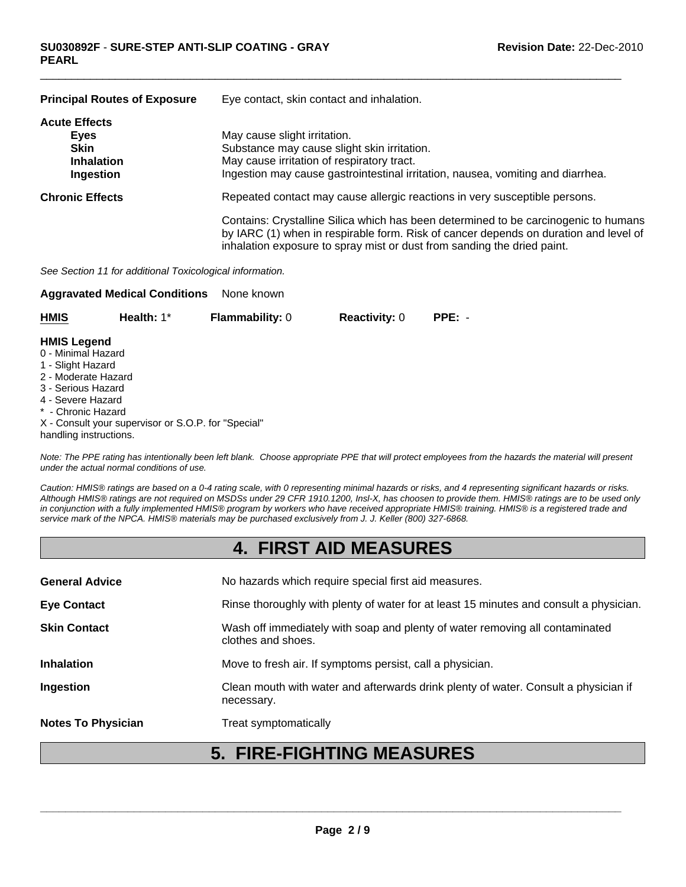| <b>Principal Routes of Exposure</b>                                           | Eye contact, skin contact and inhalation.                                                                                                                                                                                                              |
|-------------------------------------------------------------------------------|--------------------------------------------------------------------------------------------------------------------------------------------------------------------------------------------------------------------------------------------------------|
| <b>Acute Effects</b><br>Eyes<br><b>Skin</b><br><b>Inhalation</b><br>Ingestion | May cause slight irritation.<br>Substance may cause slight skin irritation.<br>May cause irritation of respiratory tract.<br>Ingestion may cause gastrointestinal irritation, nausea, vomiting and diarrhea.                                           |
| <b>Chronic Effects</b>                                                        | Repeated contact may cause allergic reactions in very susceptible persons.                                                                                                                                                                             |
|                                                                               | Contains: Crystalline Silica which has been determined to be carcinogenic to humans<br>by IARC (1) when in respirable form. Risk of cancer depends on duration and level of<br>inhalation exposure to spray mist or dust from sanding the dried paint. |

 $\Box$ 

*See Section 11 for additional Toxicological information.*

handling instructions.

| None known<br><b>Aggravated Medical Conditions</b>                                                                                                    |                                                     |                        |                      |          |  |  |
|-------------------------------------------------------------------------------------------------------------------------------------------------------|-----------------------------------------------------|------------------------|----------------------|----------|--|--|
| <b>HMIS</b>                                                                                                                                           | Health: $1^*$                                       | <b>Flammability: 0</b> | <b>Reactivity: 0</b> | $PPE: -$ |  |  |
| <b>HMIS Legend</b><br>0 - Minimal Hazard<br>1 - Slight Hazard<br>2 - Moderate Hazard<br>3 - Serious Hazard<br>4 - Severe Hazard<br>* - Chronic Hazard | X - Consult your supervisor or S.O.P. for "Special" |                        |                      |          |  |  |

*Note: The PPE rating has intentionally been left blank. Choose appropriate PPE that will protect employees from the hazards the material will present under the actual normal conditions of use.*

*Caution: HMIS® ratings are based on a 0-4 rating scale, with 0 representing minimal hazards or risks, and 4 representing significant hazards or risks. Although HMIS® ratings are not required on MSDSs under 29 CFR 1910.1200, Insl-X, has choosen to provide them. HMIS® ratings are to be used only in conjunction with a fully implemented HMIS® program by workers who have received appropriate HMIS® training. HMIS® is a registered trade and service mark of the NPCA. HMIS® materials may be purchased exclusively from J. J. Keller (800) 327-6868.*

### **4. FIRST AID MEASURES**

|                           | -<br>FIAUTINA MP                                                                                   |
|---------------------------|----------------------------------------------------------------------------------------------------|
| <b>Notes To Physician</b> | Treat symptomatically                                                                              |
| Ingestion                 | Clean mouth with water and afterwards drink plenty of water. Consult a physician if<br>necessary.  |
| <b>Inhalation</b>         | Move to fresh air. If symptoms persist, call a physician.                                          |
| <b>Skin Contact</b>       | Wash off immediately with soap and plenty of water removing all contaminated<br>clothes and shoes. |
| <b>Eye Contact</b>        | Rinse thoroughly with plenty of water for at least 15 minutes and consult a physician.             |
| <b>General Advice</b>     | No hazards which require special first aid measures.                                               |
|                           |                                                                                                    |

## **5. FIRE-FIGHTING MEASURES**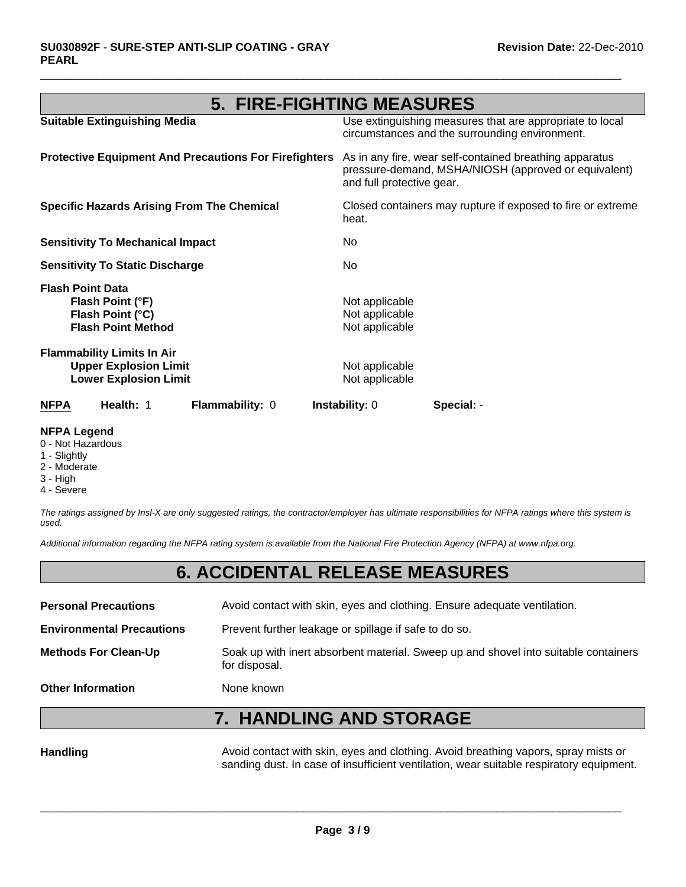# **5. FIRE-FIGHTING MEASURES**

 $\Box$ 

| <b>NFPA</b>             | Health: 1                                                                                         | Flammability: 0                                              | <b>Instability: 0</b>                              | Special: -                                                                                                      |
|-------------------------|---------------------------------------------------------------------------------------------------|--------------------------------------------------------------|----------------------------------------------------|-----------------------------------------------------------------------------------------------------------------|
|                         | <b>Flammability Limits In Air</b><br><b>Upper Explosion Limit</b><br><b>Lower Explosion Limit</b> |                                                              | Not applicable<br>Not applicable                   |                                                                                                                 |
| <b>Flash Point Data</b> | Flash Point (°F)<br>Flash Point (°C)<br><b>Flash Point Method</b>                                 |                                                              | Not applicable<br>Not applicable<br>Not applicable |                                                                                                                 |
|                         | <b>Sensitivity To Static Discharge</b>                                                            |                                                              | No.                                                |                                                                                                                 |
|                         | <b>Sensitivity To Mechanical Impact</b>                                                           |                                                              | No.                                                |                                                                                                                 |
|                         |                                                                                                   | <b>Specific Hazards Arising From The Chemical</b>            | heat.                                              | Closed containers may rupture if exposed to fire or extreme                                                     |
|                         |                                                                                                   | <b>Protective Equipment And Precautions For Firefighters</b> | and full protective gear.                          | As in any fire, wear self-contained breathing apparatus<br>pressure-demand, MSHA/NIOSH (approved or equivalent) |
|                         | <b>Suitable Extinguishing Media</b>                                                               |                                                              |                                                    | Use extinguishing measures that are appropriate to local<br>circumstances and the surrounding environment.      |

#### **NFPA Legend**

- 0 Not Hazardous
- 1 Slightly
- 2 Moderate
- 3 High
- 4 Severe

*The ratings assigned by Insl-X are only suggested ratings, the contractor/employer has ultimate responsibilities for NFPA ratings where this system is used.*

*Additional information regarding the NFPA rating system is available from the National Fire Protection Agency (NFPA) at www.nfpa.org.*

### **6. ACCIDENTAL RELEASE MEASURES**

| <b>Personal Precautions</b>      | Avoid contact with skin, eyes and clothing. Ensure adequate ventilation.                             |
|----------------------------------|------------------------------------------------------------------------------------------------------|
| <b>Environmental Precautions</b> | Prevent further leakage or spillage if safe to do so.                                                |
| <b>Methods For Clean-Up</b>      | Soak up with inert absorbent material. Sweep up and shovel into suitable containers<br>for disposal. |
| <b>Other Information</b>         | None known                                                                                           |

# **7. HANDLING AND STORAGE**

Handling **Handling** Avoid contact with skin, eyes and clothing. Avoid breathing vapors, spray mists or sanding dust. In case of insufficient ventilation, wear suitable respiratory equipment.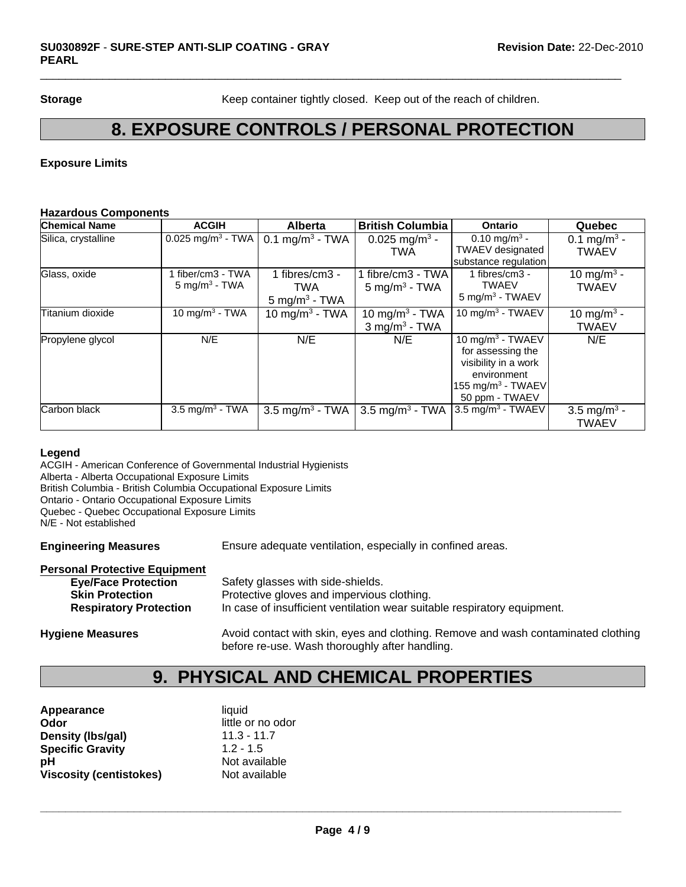**Storage** Keep container tightly closed. Keep out of the reach of children.

### **8. EXPOSURE CONTROLS / PERSONAL PROTECTION**

 $\Box$ 

### **Exposure Limits**

#### **Hazardous Components**

| <b>Chemical Name</b> | <b>ACGIH</b>                                  | <b>Alberta</b>                                    | <b>British Columbia</b>                                   | Ontario                                                                                                                            | Quebec                                  |
|----------------------|-----------------------------------------------|---------------------------------------------------|-----------------------------------------------------------|------------------------------------------------------------------------------------------------------------------------------------|-----------------------------------------|
| Silica, crystalline  | $0.025$ mg/m <sup>3</sup> - TWA               | $0.1 \text{ mg/m}^3$ - TWA                        | 0.025 mg/m <sup>3</sup> -<br>TWA                          | $0.10$ mg/m <sup>3</sup> -<br><b>TWAEV</b> designated<br>substance regulation                                                      | 0.1 mg/m <sup>3</sup> -<br><b>TWAEV</b> |
| Glass, oxide         | l fiber/cm3 - TWA<br>$5 \text{ mg/m}^3$ - TWA | 1 fibres/cm3 -<br>TWA<br>$5 \text{ mg/m}^3$ - TWA | 1 fibre/cm3 - TWA l<br>$5 \text{ mg/m}^3$ - TWA           | 1 fibres/cm3 -<br><b>TWAEV</b><br>$5 \text{ mg/m}^3$ - TWAEV                                                                       | 10 mg/m <sup>3</sup> -<br><b>TWAEV</b>  |
| Titanium dioxide     | 10 mg/m <sup>3</sup> - TWA                    | 10 mg/m <sup>3</sup> - TWA                        | 10 mg/m <sup>3</sup> - TWA<br>$3$ mg/m <sup>3</sup> - TWA | 10 mg/m $3 - TWAEV$                                                                                                                | 10 mg/m <sup>3</sup> -<br><b>TWAEV</b>  |
| Propylene glycol     | N/E                                           | N/E                                               | N/E                                                       | 10 mg/m $3$ - TWAEV<br>for assessing the<br>visibility in a work<br>environment<br>155 mg/m <sup>3</sup> - TWAEV<br>50 ppm - TWAEV | N/E                                     |
| Carbon black         | 3.5 mg/m <sup>3</sup> - TWA                   | 3.5 mg/m <sup>3</sup> - TWA                       | 3.5 mg/m <sup>3</sup> - TWA                               | 3.5 mg/m <sup>3</sup> - TWAEV                                                                                                      | 3.5 mg/m <sup>3</sup> -<br><b>TWAEV</b> |

#### **Legend**

ACGIH - American Conference of Governmental Industrial Hygienists Alberta - Alberta Occupational Exposure Limits British Columbia - British Columbia Occupational Exposure Limits Ontario - Ontario Occupational Exposure Limits Quebec - Quebec Occupational Exposure Limits N/E - Not established

**Engineering Measures** Ensure adequate ventilation, especially in confined areas.

#### **Personal Protective Equipment**

| <b>Eye/Face Protection</b>    | Safety glasses with side-shields.                                        |
|-------------------------------|--------------------------------------------------------------------------|
| <b>Skin Protection</b>        | Protective gloves and impervious clothing.                               |
| <b>Respiratory Protection</b> | In case of insufficient ventilation wear suitable respiratory equipment. |
|                               |                                                                          |

**Hygiene Measures** Avoid contact with skin, eyes and clothing. Remove and wash contaminated clothing before re-use. Wash thoroughly after handling.

## **9. PHYSICAL AND CHEMICAL PROPERTIES**

| Appearance                     | liquid            |
|--------------------------------|-------------------|
| Odor                           | little or no odor |
| Density (Ibs/gal)              | $11.3 - 11.7$     |
| <b>Specific Gravity</b>        | $1.2 - 1.5$       |
| рH                             | Not available     |
| <b>Viscosity (centistokes)</b> | Not available     |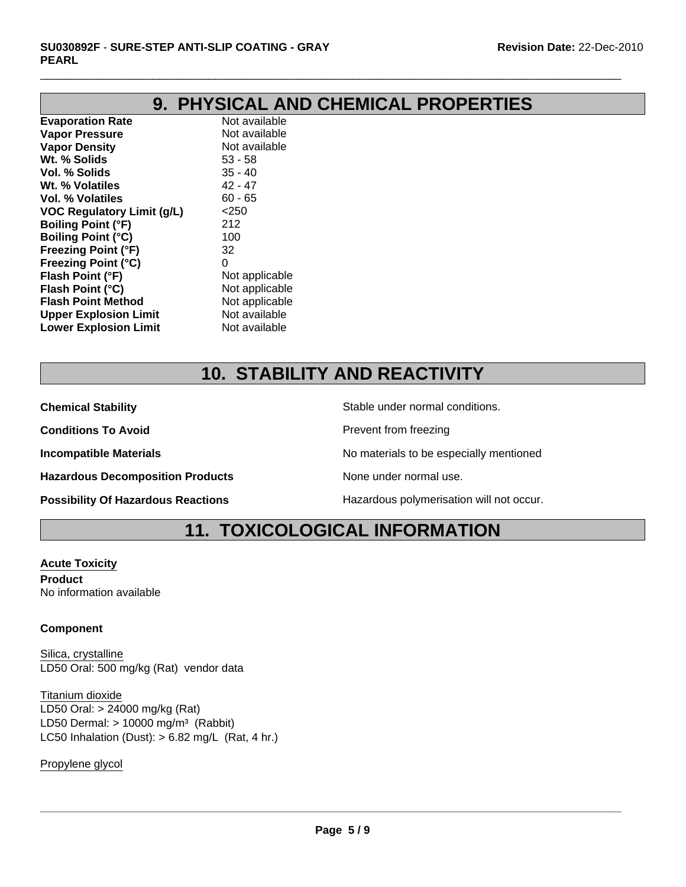# **9. PHYSICAL AND CHEMICAL PROPERTIES**

 $\Box$ 

**Evaporation Rate** Not available **Vapor Pressure** Not available **Vapor Density** Not available **Wt. % Solids** 53 - 58 **Vol. % Solids** 35 - 40 **Wt. % Volatiles** 42 - 47 **Vol. % Volatiles** 60 - 65 **VOC Regulatory Limit (g/L)** <250 **Boiling Point (°F)** 212 **Boiling Point (°C)** 100 **Freezing Point (°F)** 32 **Freezing Point (°C)** 0 **Flash Point (°F)** Not applicable **Flash Point (°C)**<br> **Flash Point Method** Mot applicable **Flash Point Method Not applicable**<br> **Combine Upper Explosion Limit** Not available **Upper Explosion Limit** Not available<br> **Lower Explosion Limit** Not available **Lower Explosion Limit** 

# **10. STABILITY AND REACTIVITY**

**Conditions To Avoid Prevent from freezing** 

**Hazardous Decomposition Products** None under normal use.

**Chemical Stability** Stable under normal conditions.

**Incompatible Materials Incompatible Materials No materials to be especially mentioned** 

**Possibility Of Hazardous Reactions The Constant Hazardous polymerisation will not occur.** 

# **11. TOXICOLOGICAL INFORMATION**

**Acute Toxicity Product** No information available

### **Component**

Silica, crystalline LD50 Oral: 500 mg/kg (Rat) vendor data

LC50 Inhalation (Dust):  $> 6.82$  mg/L (Rat, 4 hr.) Titanium dioxide LD50 Oral: > 24000 mg/kg (Rat) LD50 Dermal:  $> 10000$  mg/m<sup>3</sup> (Rabbit)

Propylene glycol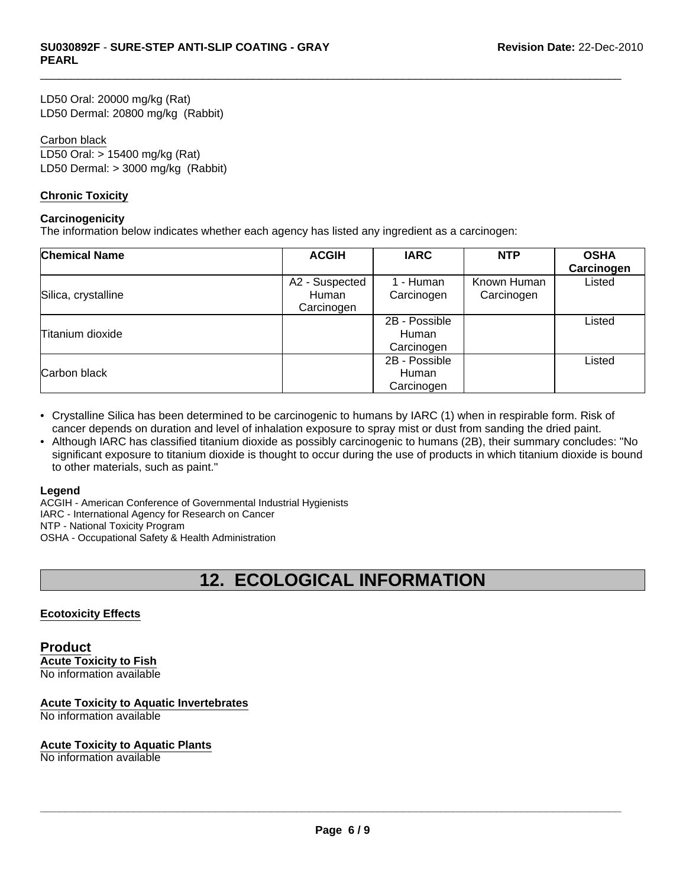LD50 Oral: 20000 mg/kg (Rat) LD50 Dermal: 20800 mg/kg (Rabbit)

#### Carbon black

LD50 Oral: > 15400 mg/kg (Rat) LD50 Dermal: > 3000 mg/kg (Rabbit)

#### **Chronic Toxicity**

#### **Carcinogenicity**

The information below indicates whether each agency has listed any ingredient as a carcinogen:

| <b>Chemical Name</b> | <b>ACGIH</b>            | <b>IARC</b>             | <b>NTP</b>                | <b>OSHA</b><br>Carcinogen |
|----------------------|-------------------------|-------------------------|---------------------------|---------------------------|
| Silica, crystalline  | A2 - Suspected<br>Human | 1 - Human<br>Carcinogen | Known Human<br>Carcinogen | Listed                    |
|                      | Carcinogen              |                         |                           |                           |
|                      |                         | 2B - Possible           |                           | Listed                    |
| Titanium dioxide     |                         | Human                   |                           |                           |
|                      |                         | Carcinogen              |                           |                           |
|                      |                         | 2B - Possible           |                           | Listed                    |
| Carbon black         |                         | Human                   |                           |                           |
|                      |                         | Carcinogen              |                           |                           |

 $\Box$ 

- Crystalline Silica has been determined to be carcinogenic to humans by IARC (1) when in respirable form. Risk of cancer depends on duration and level of inhalation exposure to spray mist or dust from sanding the dried paint.
- Although IARC has classified titanium dioxide as possibly carcinogenic to humans (2B), their summary concludes: "No significant exposure to titanium dioxide is thought to occur during the use of products in which titanium dioxide is bound to other materials, such as paint."

#### **Legend**

ACGIH - American Conference of Governmental Industrial Hygienists IARC - International Agency for Research on Cancer NTP - National Toxicity Program OSHA - Occupational Safety & Health Administration

## **12. ECOLOGICAL INFORMATION**

### **Ecotoxicity Effects**

#### **Product Acute Toxicity to Fish** No information available

### **Acute Toxicity to Aquatic Invertebrates**

No information available

#### **Acute Toxicity to Aquatic Plants**

No information available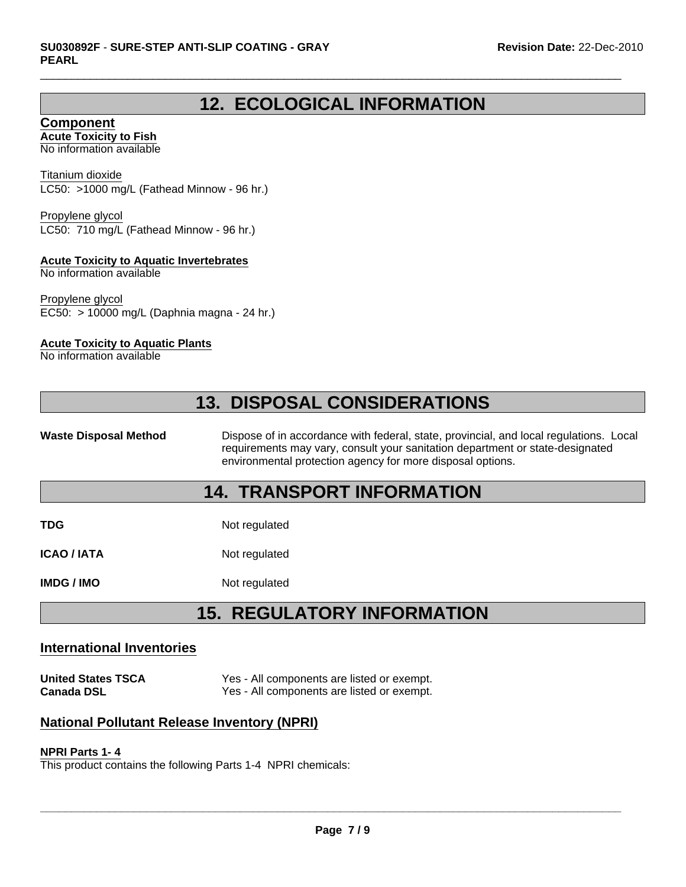### **12. ECOLOGICAL INFORMATION**

 $\Box$ 

**Component Acute Toxicity to Fish**

No information available

Titanium dioxide LC50: >1000 mg/L (Fathead Minnow - 96 hr.)

Propylene glycol LC50: 710 mg/L (Fathead Minnow - 96 hr.)

### **Acute Toxicity to Aquatic Invertebrates**

No information available

Propylene glycol EC50: > 10000 mg/L (Daphnia magna - 24 hr.)

### **Acute Toxicity to Aquatic Plants**

No information available

# **13. DISPOSAL CONSIDERATIONS**

Waste Disposal Method **Dispose of in accordance with federal, state, provincial, and local regulations. Local** requirements may vary, consult your sanitation department or state-designated environmental protection agency for more disposal options.

### **14. TRANSPORT INFORMATION**

**TDG** Not regulated

**ICAO / IATA** Not regulated

**IMDG / IMO** Not regulated

# **15. REGULATORY INFORMATION**

### **International Inventories**

**United States TSCA** Yes - All components are listed or exempt. **Canada DSL** Yes - All components are listed or exempt.

### **National Pollutant Release Inventory (NPRI)**

#### **NPRI Parts 1- 4**

This product contains the following Parts 1-4 NPRI chemicals: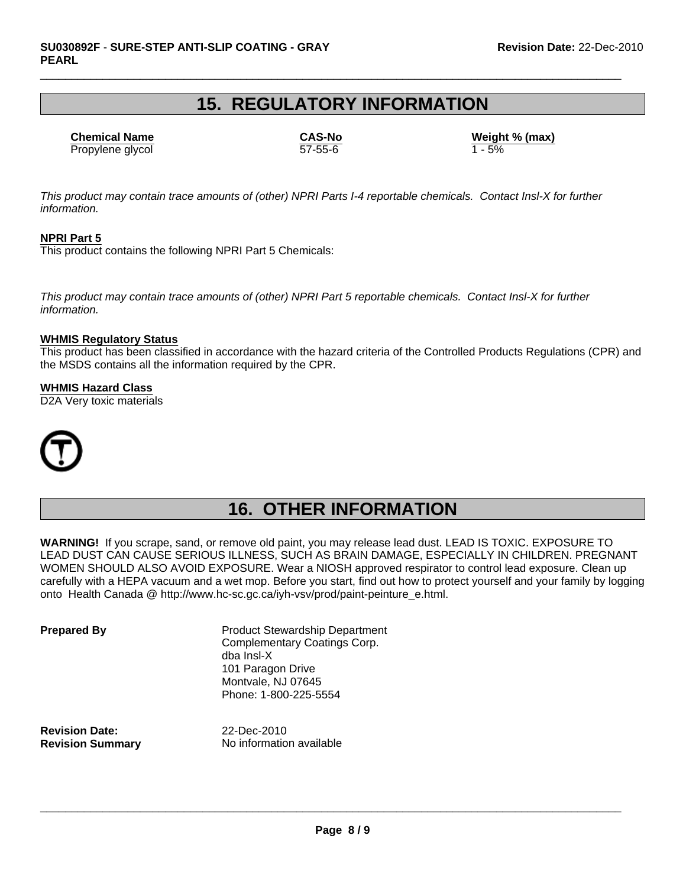### **15. REGULATORY INFORMATION**

 $\Box$ 

Propylene glycol  $\overline{57-55-6}$   $\overline{1-5\%}$ **Chemical Name CAS-No Weight % (max)**

*This product may contain trace amounts of (other) NPRI Parts I-4 reportable chemicals. Contact Insl-X for further information.*

### **NPRI Part 5**

This product contains the following NPRI Part 5 Chemicals:

*This product may contain trace amounts of (other) NPRI Part 5 reportable chemicals. Contact Insl-X for further information.*

#### **WHMIS Regulatory Status**

This product has been classified in accordance with the hazard criteria of the Controlled Products Regulations (CPR) and the MSDS contains all the information required by the CPR.

#### **WHMIS Hazard Class**

D2A Very toxic materials



## **16. OTHER INFORMATION**

**WARNING!** If you scrape, sand, or remove old paint, you may release lead dust. LEAD IS TOXIC. EXPOSURE TO LEAD DUST CAN CAUSE SERIOUS ILLNESS, SUCH AS BRAIN DAMAGE, ESPECIALLY IN CHILDREN. PREGNANT WOMEN SHOULD ALSO AVOID EXPOSURE. Wear a NIOSH approved respirator to control lead exposure. Clean up carefully with a HEPA vacuum and a wet mop. Before you start, find out how to protect yourself and your family by logging onto Health Canada @ http://www.hc-sc.gc.ca/iyh-vsv/prod/paint-peinture\_e.html.

**Prepared By** Product Stewardship Department Complementary Coatings Corp. dba Insl-X 101 Paragon Drive Montvale, NJ 07645 Phone: 1-800-225-5554

**Revision Date:** 22-Dec-2010

**Revision Summary** No information available